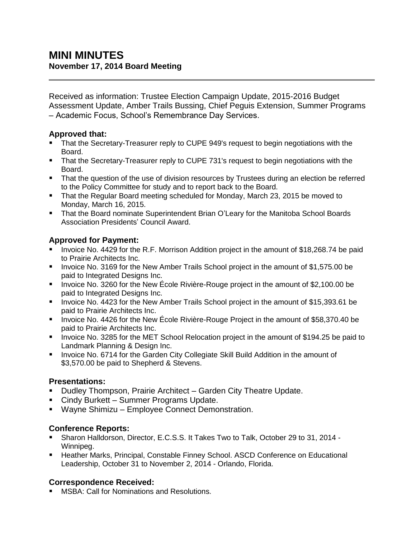Received as information: Trustee Election Campaign Update, 2015-2016 Budget Assessment Update, Amber Trails Bussing, Chief Peguis Extension, Summer Programs – Academic Focus, School's Remembrance Day Services.

### **Approved that:**

- That the Secretary-Treasurer reply to CUPE 949's request to begin negotiations with the Board.
- **That the Secretary-Treasurer reply to CUPE 731's request to begin negotiations with the** Board.
- **That the question of the use of division resources by Trustees during an election be referred** to the Policy Committee for study and to report back to the Board.
- That the Regular Board meeting scheduled for Monday, March 23, 2015 be moved to Monday, March 16, 2015.
- **That the Board nominate Superintendent Brian O'Leary for the Manitoba School Boards** Association Presidents' Council Award.

# **Approved for Payment:**

- Invoice No. 4429 for the R.F. Morrison Addition project in the amount of \$18,268.74 be paid to Prairie Architects Inc.
- Invoice No. 3169 for the New Amber Trails School project in the amount of \$1,575.00 be paid to Integrated Designs Inc.
- Invoice No. 3260 for the New École Rivière-Rouge project in the amount of \$2,100.00 be paid to Integrated Designs Inc.
- Invoice No. 4423 for the New Amber Trails School project in the amount of \$15,393.61 be paid to Prairie Architects Inc.
- Invoice No. 4426 for the New École Rivière-Rouge Project in the amount of \$58,370.40 be paid to Prairie Architects Inc.
- Invoice No. 3285 for the MET School Relocation project in the amount of \$194.25 be paid to Landmark Planning & Design Inc.
- **IDED 10. 6714 for the Garden City Collegiate Skill Build Addition in the amount of** \$3,570.00 be paid to Shepherd & Stevens.

## **Presentations:**

- Dudley Thompson, Prairie Architect Garden City Theatre Update.
- Cindy Burkett Summer Programs Update.
- Wayne Shimizu Employee Connect Demonstration.

## **Conference Reports:**

- Sharon Halldorson, Director, E.C.S.S. It Takes Two to Talk, October 29 to 31, 2014 Winnipeg.
- **Heather Marks, Principal, Constable Finney School. ASCD Conference on Educational** Leadership, October 31 to November 2, 2014 - Orlando, Florida.

## **Correspondence Received:**

MSBA: Call for Nominations and Resolutions.